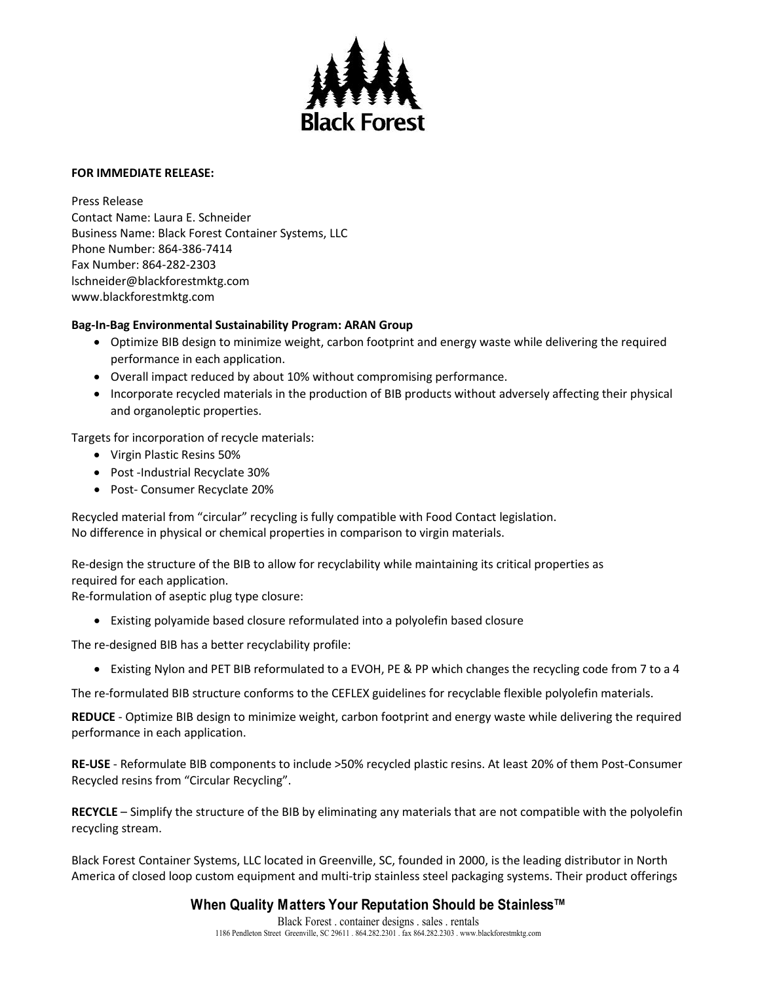

## **FOR IMMEDIATE RELEASE:**

Press Release Contact Name: Laura E. Schneider Business Name: Black Forest Container Systems, LLC Phone Number: 864-386-7414 Fax Number: 864-282-2303 lschneider@blackforestmktg.com www.blackforestmktg.com

## **Bag-In-Bag Environmental Sustainability Program: ARAN Group**

- Optimize BIB design to minimize weight, carbon footprint and energy waste while delivering the required performance in each application.
- Overall impact reduced by about 10% without compromising performance.
- Incorporate recycled materials in the production of BIB products without adversely affecting their physical and organoleptic properties.

Targets for incorporation of recycle materials:

- Virgin Plastic Resins 50%
- Post -Industrial Recyclate 30%
- Post- Consumer Recyclate 20%

Recycled material from "circular" recycling is fully compatible with Food Contact legislation. No difference in physical or chemical properties in comparison to virgin materials.

Re-design the structure of the BIB to allow for recyclability while maintaining its critical properties as required for each application.

Re-formulation of aseptic plug type closure:

• Existing polyamide based closure reformulated into a polyolefin based closure

The re-designed BIB has a better recyclability profile:

• Existing Nylon and PET BIB reformulated to a EVOH, PE & PP which changes the recycling code from 7 to a 4

The re-formulated BIB structure conforms to the CEFLEX guidelines for recyclable flexible polyolefin materials.

**REDUCE** - Optimize BIB design to minimize weight, carbon footprint and energy waste while delivering the required performance in each application.

**RE-USE** - Reformulate BIB components to include >50% recycled plastic resins. At least 20% of them Post-Consumer Recycled resins from "Circular Recycling".

**RECYCLE** – Simplify the structure of the BIB by eliminating any materials that are not compatible with the polyolefin recycling stream.

Black Forest Container Systems, LLC located in Greenville, SC, founded in 2000, is the leading distributor in North America of closed loop custom equipment and multi-trip stainless steel packaging systems. Their product offerings